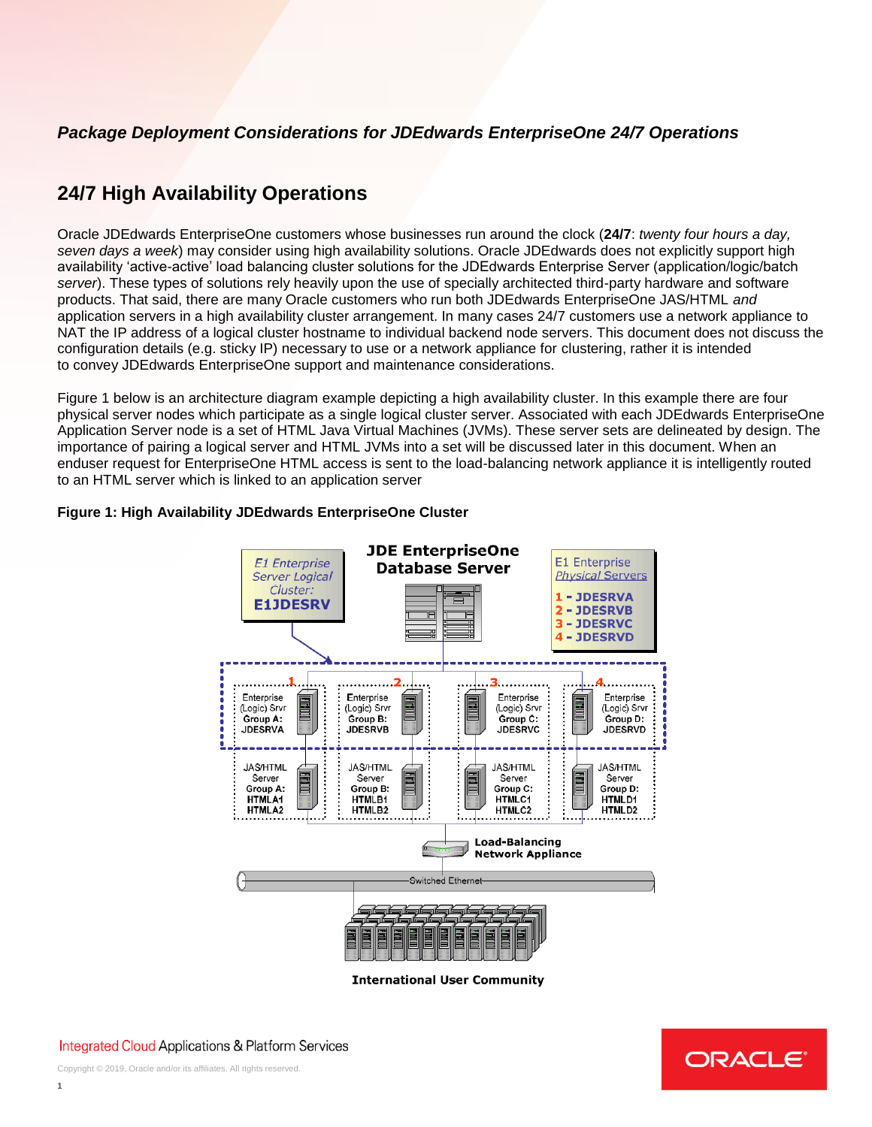## *Package Deployment Considerations for JDEdwards EnterpriseOne 24/7 Operations*

# **24/7 High Availability Operations**

Oracle JDEdwards EnterpriseOne customers whose businesses run around the clock (**24/7**: *twenty four hours a day, seven days a week*) may consider using high availability solutions. Oracle JDEdwards does not explicitly support high availability 'active-active' load balancing cluster solutions for the JDEdwards Enterprise Server (application/logic/batch *server*). These types of solutions rely heavily upon the use of specially architected third-party hardware and software products. That said, there are many Oracle customers who run both JDEdwards EnterpriseOne JAS/HTML *and*  application servers in a high availability cluster arrangement. In many cases 24/7 customers use a network appliance to NAT the IP address of a logical cluster hostname to individual backend node servers. This document does not discuss the configuration details (e.g. sticky IP) necessary to use or a network appliance for clustering, rather it is intended to convey JDEdwards EnterpriseOne support and maintenance considerations.

Figure 1 below is an architecture diagram example depicting a high availability cluster. In this example there are four physical server nodes which participate as a single logical cluster server. Associated with each JDEdwards EnterpriseOne Application Server node is a set of HTML Java Virtual Machines (JVMs). These server sets are delineated by design. The importance of pairing a logical server and HTML JVMs into a set will be discussed later in this document. When an enduser request for EnterpriseOne HTML access is sent to the load-balancing network appliance it is intelligently routed to an HTML server which is linked to an application server

## **Figure 1: High Availability JDEdwards EnterpriseOne Cluster**



**International User Community** 



**Integrated Cloud Applications & Platform Services**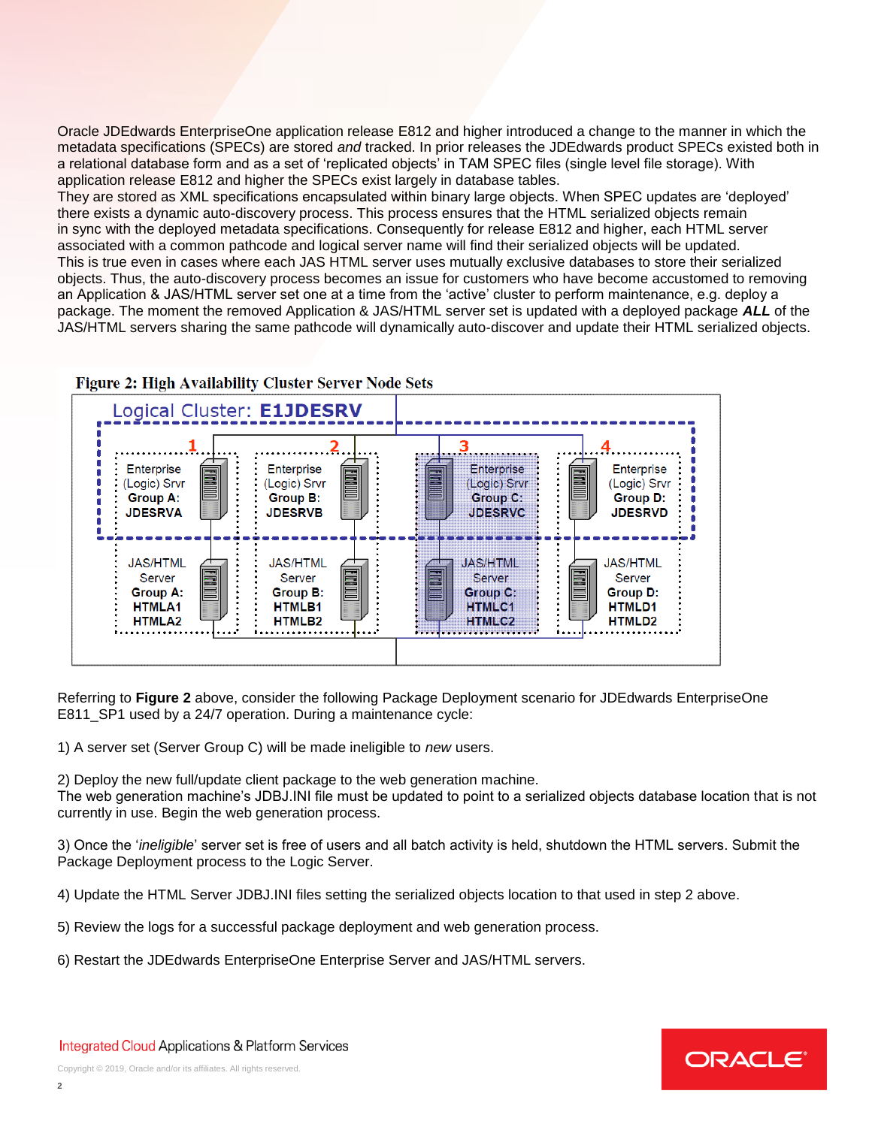Oracle JDEdwards EnterpriseOne application release E812 and higher introduced a change to the manner in which the metadata specifications (SPECs) are stored *and* tracked. In prior releases the JDEdwards product SPECs existed both in a relational database form and as a set of 'replicated objects' in TAM SPEC files (single level file storage). With application release E812 and higher the SPECs exist largely in database tables.

They are stored as XML specifications encapsulated within binary large objects. When SPEC updates are 'deployed' there exists a dynamic auto-discovery process. This process ensures that the HTML serialized objects remain in sync with the deployed metadata specifications. Consequently for release E812 and higher, each HTML server associated with a common pathcode and logical server name will find their serialized objects will be updated. This is true even in cases where each JAS HTML server uses mutually exclusive databases to store their serialized objects. Thus, the auto-discovery process becomes an issue for customers who have become accustomed to removing an Application & JAS/HTML server set one at a time from the 'active' cluster to perform maintenance, e.g. deploy a package. The moment the removed Application & JAS/HTML server set is updated with a deployed package *ALL* of the JAS/HTML servers sharing the same pathcode will dynamically auto-discover and update their HTML serialized objects.





Referring to **Figure 2** above, consider the following Package Deployment scenario for JDEdwards EnterpriseOne E811 SP1 used by a 24/7 operation. During a maintenance cycle:

1) A server set (Server Group C) will be made ineligible to *new* users.

2) Deploy the new full/update client package to the web generation machine.

The web generation machine's JDBJ.INI file must be updated to point to a serialized objects database location that is not currently in use. Begin the web generation process.

3) Once the '*ineligible*' server set is free of users and all batch activity is held, shutdown the HTML servers. Submit the Package Deployment process to the Logic Server.

4) Update the HTML Server JDBJ.INI files setting the serialized objects location to that used in step 2 above.

- 5) Review the logs for a successful package deployment and web generation process.
- 6) Restart the JDEdwards EnterpriseOne Enterprise Server and JAS/HTML servers.

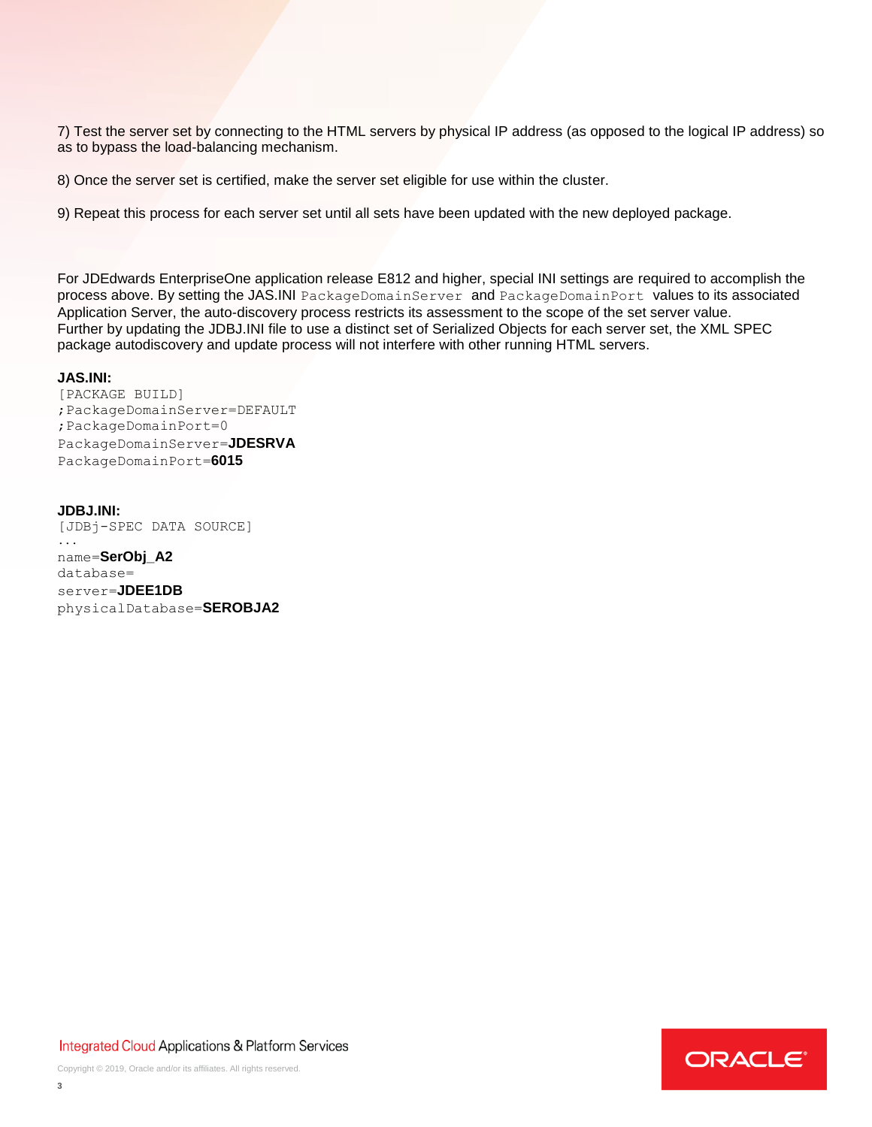7) Test the server set by connecting to the HTML servers by physical IP address (as opposed to the logical IP address) so as to bypass the load-balancing mechanism.

8) Once the server set is certified, make the server set eligible for use within the cluster.

9) Repeat this process for each server set until all sets have been updated with the new deployed package.

For JDEdwards EnterpriseOne application release E812 and higher, special INI settings are required to accomplish the process above. By setting the JAS.INI PackageDomainServer and PackageDomainPort values to its associated Application Server, the auto-discovery process restricts its assessment to the scope of the set server value. Further by updating the JDBJ.INI file to use a distinct set of Serialized Objects for each server set, the XML SPEC package autodiscovery and update process will not interfere with other running HTML servers.

### **JAS.INI:**

[PACKAGE BUILD] ;PackageDomainServer=DEFAULT ;PackageDomainPort=0 PackageDomainServer=**JDESRVA** PackageDomainPort=**6015**

### **JDBJ.INI:**

[JDBj-SPEC DATA SOURCE] ... name=**SerObj\_A2** database= server=**JDEE1DB** physicalDatabase=**SEROBJA2**